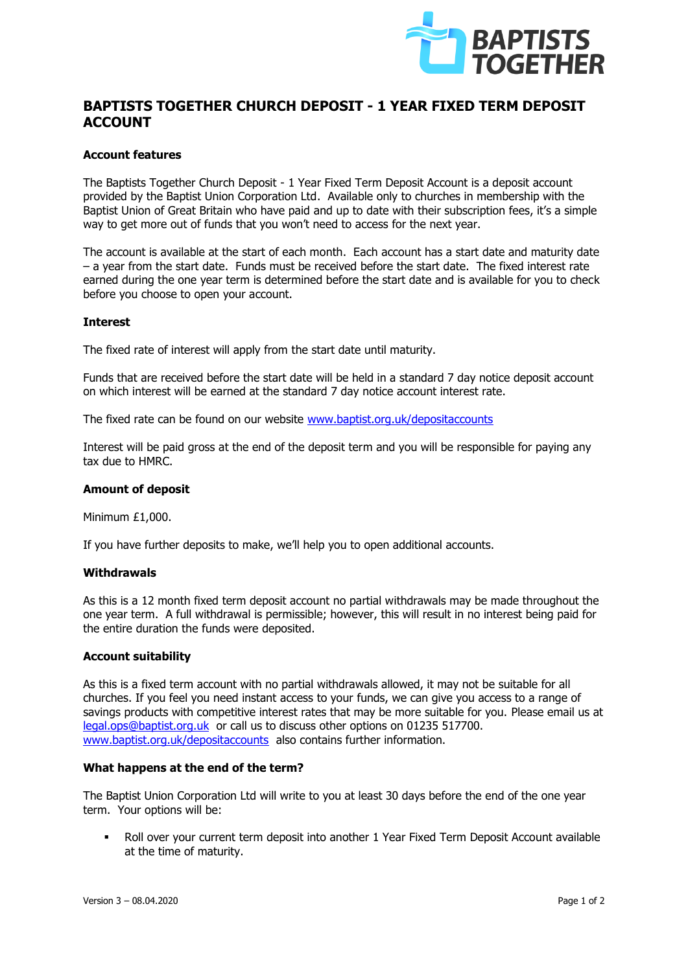

# **BAPTISTS TOGETHER CHURCH DEPOSIT - 1 YEAR FIXED TERM DEPOSIT ACCOUNT**

## **Account features**

The Baptists Together Church Deposit - 1 Year Fixed Term Deposit Account is a deposit account provided by the Baptist Union Corporation Ltd. Available only to churches in membership with the Baptist Union of Great Britain who have paid and up to date with their subscription fees, it's a simple way to get more out of funds that you won't need to access for the next year.

The account is available at the start of each month. Each account has a start date and maturity date – a year from the start date. Funds must be received before the start date. The fixed interest rate earned during the one year term is determined before the start date and is available for you to check before you choose to open your account.

## **Interest**

The fixed rate of interest will apply from the start date until maturity.

Funds that are received before the start date will be held in a standard 7 day notice deposit account on which interest will be earned at the standard 7 day notice account interest rate.

The fixed rate can be found on our website [www.baptist.org.uk/depositaccounts](http://www.baptist.org.uk/depositaccounts)

Interest will be paid gross at the end of the deposit term and you will be responsible for paying any tax due to HMRC.

## **Amount of deposit**

Minimum £1,000.

If you have further deposits to make, we'll help you to open additional accounts.

## **Withdrawals**

As this is a 12 month fixed term deposit account no partial withdrawals may be made throughout the one year term. A full withdrawal is permissible; however, this will result in no interest being paid for the entire duration the funds were deposited.

## **Account suitability**

As this is a fixed term account with no partial withdrawals allowed, it may not be suitable for all churches. If you feel you need instant access to your funds, we can give you access to a range of savings products with competitive interest rates that may be more suitable for you. Please email us at [legal.ops@baptist.org.uk](mailto:legal.ops@baptist.org.uk) or call us to discuss other options on 01235 517700. [www.baptist.org.uk/depositaccounts](http://www.baptist.org.uk/depositaccounts) also contains further information.

## **What happens at the end of the term?**

The Baptist Union Corporation Ltd will write to you at least 30 days before the end of the one year term. Your options will be:

▪ Roll over your current term deposit into another 1 Year Fixed Term Deposit Account available at the time of maturity.